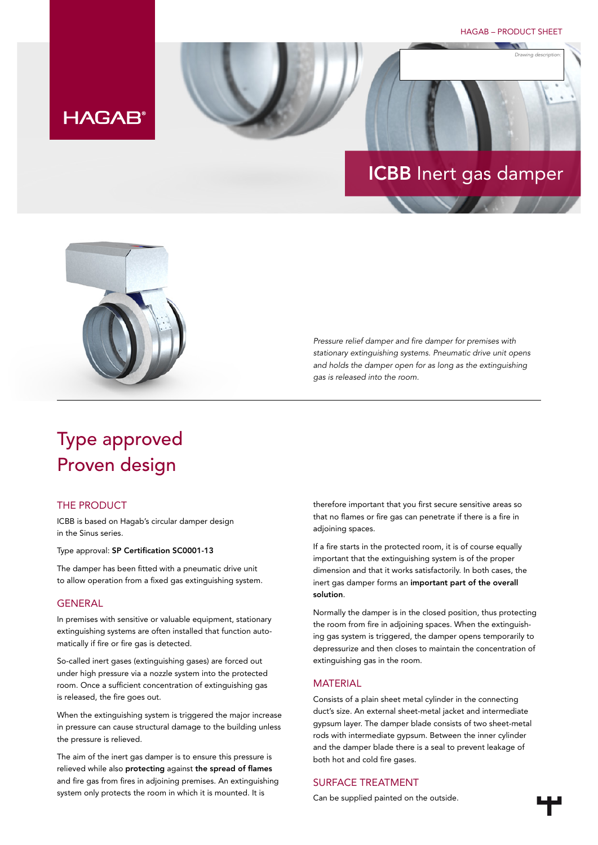HAGAB – PRODUCT SHEET

*Drawing description:*

# **HAGAB®**

# ICBB Inert gas damper



*Pressure relief damper and fire damper for premises with stationary extinguishing systems. Pneumatic drive unit opens and holds the damper open for as long as the extinguishing gas is released into the room.*

# Type approved Proven design

## THE PRODUCT

ICBB is based on Hagab's circular damper design in the Sinus series.

### Type approval: SP Certification SC0001-13

The damper has been fitted with a pneumatic drive unit to allow operation from a fixed gas extinguishing system.

### GENERAL

In premises with sensitive or valuable equipment, stationary extinguishing systems are often installed that function automatically if fire or fire gas is detected.

So-called inert gases (extinguishing gases) are forced out under high pressure via a nozzle system into the protected room. Once a sufficient concentration of extinguishing gas is released, the fire goes out.

When the extinguishing system is triggered the major increase in pressure can cause structural damage to the building unless the pressure is relieved.

The aim of the inert gas damper is to ensure this pressure is relieved while also protecting against the spread of flames and fire gas from fires in adjoining premises. An extinguishing system only protects the room in which it is mounted. It is

therefore important that you first secure sensitive areas so that no flames or fire gas can penetrate if there is a fire in adjoining spaces.

If a fire starts in the protected room, it is of course equally important that the extinguishing system is of the proper dimension and that it works satisfactorily. In both cases, the inert gas damper forms an important part of the overall solution.

Normally the damper is in the closed position, thus protecting the room from fire in adjoining spaces. When the extinguishing gas system is triggered, the damper opens temporarily to depressurize and then closes to maintain the concentration of extinguishing gas in the room.

### **MATERIAL**

Consists of a plain sheet metal cylinder in the connecting duct's size. An external sheet-metal jacket and intermediate gypsum layer. The damper blade consists of two sheet-metal rods with intermediate gypsum. Between the inner cylinder and the damper blade there is a seal to prevent leakage of both hot and cold fire gases.

### SURFACE TREATMENT

Can be supplied painted on the outside.